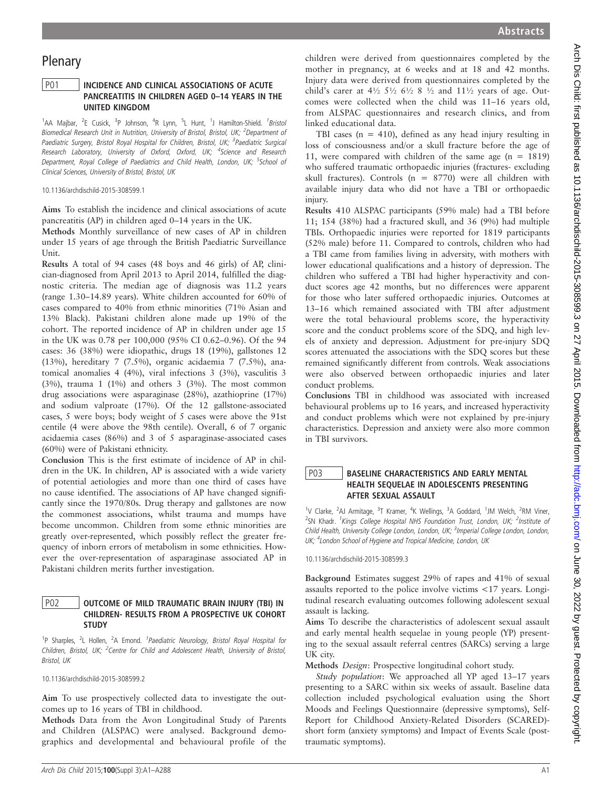# Plenary

## P01 | INCIDENCE AND CLINICAL ASSOCIATIONS OF ACUTE PANCREATITIS IN CHILDREN AGED 0–14 YEARS IN THE UNITED KINGDOM

<sup>1</sup>AA Majbar, <sup>2</sup>E Cusick, <sup>3</sup>P Johnson, <sup>4</sup>R Lynn, <sup>5</sup>L Hunt, <sup>1</sup>J Hamilton-Shield. <sup>1</sup>Bristol Biomedical Research Unit in Nutrition, University of Bristol, Bristol, UK; <sup>2</sup>Department of Paediatric Surgery, Bristol Royal Hospital for Children, Bristol, UK; <sup>3</sup>Paediatric Surgical Research Laboratory, University of Oxford, Oxford, UK; <sup>4</sup>Science and Research Department, Royal College of Paediatrics and Child Health, London, UK; <sup>5</sup>School of Clinical Sciences, University of Bristol, Bristol, UK

10.1136/archdischild-2015-308599.1

Aims To establish the incidence and clinical associations of acute pancreatitis (AP) in children aged 0–14 years in the UK.

Methods Monthly surveillance of new cases of AP in children under 15 years of age through the British Paediatric Surveillance Unit.

Results A total of 94 cases (48 boys and 46 girls) of AP, clinician-diagnosed from April 2013 to April 2014, fulfilled the diagnostic criteria. The median age of diagnosis was 11.2 years (range 1.30–14.89 years). White children accounted for 60% of cases compared to 40% from ethnic minorities (71% Asian and 13% Black). Pakistani children alone made up 19% of the cohort. The reported incidence of AP in children under age 15 in the UK was 0.78 per 100,000 (95% CI 0.62–0.96). Of the 94 cases: 36 (38%) were idiopathic, drugs 18 (19%), gallstones 12 (13%), hereditary 7 (7.5%), organic acidaemia 7 (7.5%), anatomical anomalies 4 (4%), viral infections 3 (3%), vasculitis 3  $(3%)$ , trauma 1  $(1%)$  and others 3  $(3%)$ . The most common drug associations were asparaginase (28%), azathioprine (17%) and sodium valproate (17%). Of the 12 gallstone-associated cases, 5 were boys; body weight of 5 cases were above the 91st centile (4 were above the 98th centile). Overall, 6 of 7 organic acidaemia cases (86%) and 3 of 5 asparaginase-associated cases (60%) were of Pakistani ethnicity.

Conclusion This is the first estimate of incidence of AP in children in the UK. In children, AP is associated with a wide variety of potential aetiologies and more than one third of cases have no cause identified. The associations of AP have changed significantly since the 1970/80s. Drug therapy and gallstones are now the commonest associations, whilst trauma and mumps have become uncommon. Children from some ethnic minorities are greatly over-represented, which possibly reflect the greater frequency of inborn errors of metabolism in some ethnicities. However the over-representation of asparaginase associated AP in Pakistani children merits further investigation.

#### P02 **OUTCOME OF MILD TRAUMATIC BRAIN INJURY (TBI) IN** CHILDREN- RESULTS FROM A PROSPECTIVE UK COHORT **STUDY**

<sup>1</sup>P Sharples, <sup>2</sup>L Hollen, <sup>2</sup>A Emond. <sup>1</sup>Paediatric Neurology, Bristol Royal Hospital for Children, Bristol, UK; <sup>2</sup>Centre for Child and Adolescent Health, University of Bristol, Bristol, UK

10.1136/archdischild-2015-308599.2

Aim To use prospectively collected data to investigate the outcomes up to 16 years of TBI in childhood.

Methods Data from the Avon Longitudinal Study of Parents and Children (ALSPAC) were analysed. Background demographics and developmental and behavioural profile of the

Study population: We approached all YP aged 13–17 years presenting to a SARC within six weeks of assault. Baseline data collection included psychological evaluation using the Short Moods and Feelings Questionnaire (depressive symptoms), Self-Report for Childhood Anxiety-Related Disorders (SCARED) short form (anxiety symptoms) and Impact of Events Scale (posttraumatic symptoms).

children were derived from questionnaires completed by the mother in pregnancy, at 6 weeks and at 18 and 42 months. Injury data were derived from questionnaires completed by the child's carer at  $4\frac{1}{2}$   $5\frac{1}{2}$   $6\frac{1}{2}$   $8\frac{1}{2}$  and  $11\frac{1}{2}$  years of age. Outcomes were collected when the child was 11–16 years old, from ALSPAC questionnaires and research clinics, and from linked educational data.

TBI cases ( $n = 410$ ), defined as any head injury resulting in loss of consciousness and/or a skull fracture before the age of 11, were compared with children of the same age (n = 1819) who suffered traumatic orthopaedic injuries (fractures- excluding skull fractures). Controls ( $n = 8770$ ) were all children with available injury data who did not have a TBI or orthopaedic injury.

Results 410 ALSPAC participants (59% male) had a TBI before 11; 154 (38%) had a fractured skull, and 36 (9%) had multiple TBIs. Orthopaedic injuries were reported for 1819 participants (52% male) before 11. Compared to controls, children who had a TBI came from families living in adversity, with mothers with lower educational qualifications and a history of depression. The children who suffered a TBI had higher hyperactivity and conduct scores age 42 months, but no differences were apparent for those who later suffered orthopaedic injuries. Outcomes at 13–16 which remained associated with TBI after adjustment were the total behavioural problems score, the hyperactivity score and the conduct problems score of the SDQ, and high levels of anxiety and depression. Adjustment for pre-injury SDQ scores attenuated the associations with the SDQ scores but these remained significantly different from controls. Weak associations were also observed between orthopaedic injuries and later conduct problems.

Conclusions TBI in childhood was associated with increased behavioural problems up to 16 years, and increased hyperactivity and conduct problems which were not explained by pre-injury characteristics. Depression and anxiety were also more common in TBI survivors.

## P03 | BASELINE CHARACTERISTICS AND EARLY MENTAL HEALTH SEQUELAE IN ADOLESCENTS PRESENTING AFTER SEXUAL ASSAULT

<sup>1</sup>V Clarke, <sup>2</sup>AJ Armitage, <sup>3</sup>T Kramer, <sup>4</sup>K Wellings, <sup>3</sup>A Goddard, <sup>1</sup>JM Welch, <sup>2</sup>RM Viner, <sup>2</sup>SN Khadr. <sup>1</sup>Kings College Hospital NHS Foundation Trust, London, UK; <sup>2</sup>Institute of Child Health, University College London, London, UK; <sup>3</sup>Imperial College London, London, UK; <sup>4</sup>London School of Hygiene and Tropical Medicine, London, UK

10.1136/archdischild-2015-308599.3

Background Estimates suggest 29% of rapes and 41% of sexual assaults reported to the police involve victims <17 years. Longitudinal research evaluating outcomes following adolescent sexual assault is lacking.

Aims To describe the characteristics of adolescent sexual assault and early mental health sequelae in young people (YP) presenting to the sexual assault referral centres (SARCs) serving a large UK city.

Methods Design: Prospective longitudinal cohort study.